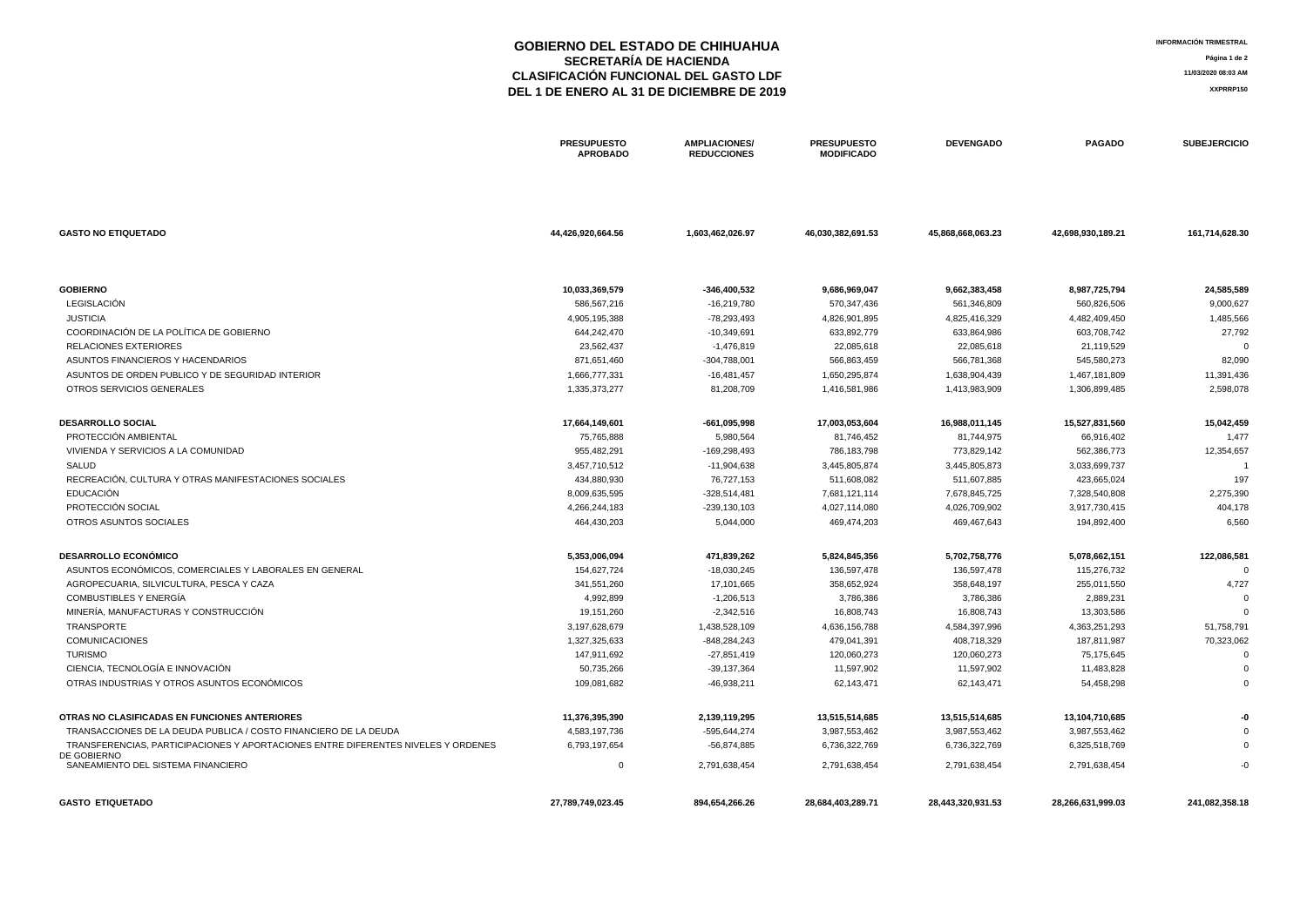# **GOBIERNO DEL ESTADO DE CHIHUAHUA SECRETARÍA DE HACIENDA CLASIFICACIÓN FUNCIONAL DEL GASTO LDF DEL 1 DE ENERO AL 31 DE DICIEMBRE DE 2019**

**INFORMACIÓN TRIMESTRAL Página 1 de 2 11/03/2020 08:03 AM XXPRRP150**

|                                                                                   | <b>PRESUPUESTO</b><br><b>APROBADO</b> | <b>AMPLIACIONES/</b><br><b>REDUCCIONES</b> | <b>PRESUPUESTO</b><br><b>MODIFICADO</b> | <b>DEVENGADO</b>  | <b>PAGADO</b>     | <b>SUBEJERCICIO</b> |
|-----------------------------------------------------------------------------------|---------------------------------------|--------------------------------------------|-----------------------------------------|-------------------|-------------------|---------------------|
| <b>GASTO NO ETIQUETADO</b>                                                        | 44,426,920,664.56                     | 1,603,462,026.97                           | 46,030,382,691.53                       | 45,868,668,063.23 | 42,698,930,189.21 | 161,714,628.30      |
|                                                                                   |                                       |                                            |                                         |                   |                   |                     |
| <b>GOBIERNO</b>                                                                   | 10,033,369,579                        | $-346,400,532$                             | 9,686,969,047                           | 9,662,383,458     | 8,987,725,794     | 24,585,589          |
| LEGISLACIÓN                                                                       | 586,567,216                           | -16,219,780                                | 570,347,436                             | 561,346,809       | 560,826,506       | 9,000,627           |
| <b>JUSTICIA</b>                                                                   | 4,905,195,388                         | -78,293,493                                | 4,826,901,895                           | 4,825,416,329     | 4,482,409,450     | 1,485,566           |
| COORDINACIÓN DE LA POLÍTICA DE GOBIERNO                                           | 644,242,470                           | $-10,349,691$                              | 633,892,779                             | 633,864,986       | 603,708,742       | 27,792              |
| <b>RELACIONES EXTERIORES</b>                                                      | 23,562,437                            | $-1,476,819$                               | 22,085,618                              | 22,085,618        | 21,119,529        |                     |
| ASUNTOS FINANCIEROS Y HACENDARIOS                                                 | 871,651,460                           | $-304,788,001$                             | 566,863,459                             | 566,781,368       | 545,580,273       | 82,090              |
| ASUNTOS DE ORDEN PUBLICO Y DE SEGURIDAD INTERIOR                                  | 1,666,777,331                         | $-16,481,457$                              | 1,650,295,874                           | 1,638,904,439     | 1,467,181,809     | 11,391,436          |
| OTROS SERVICIOS GENERALES                                                         | 1,335,373,277                         | 81,208,709                                 | 1,416,581,986                           | 1,413,983,909     | 1,306,899,485     | 2,598,078           |
| <b>DESARROLLO SOCIAL</b>                                                          | 17,664,149,601                        | -661,095,998                               | 17,003,053,604                          | 16,988,011,145    | 15,527,831,560    | 15,042,459          |
| PROTECCIÓN AMBIENTAL                                                              | 75,765,888                            | 5,980,564                                  | 81,746,452                              | 81,744,975        | 66,916,402        | 1,477               |
| VIVIENDA Y SERVICIOS A LA COMUNIDAD                                               | 955,482,291                           | -169,298,493                               | 786,183,798                             | 773,829,142       | 562,386,773       | 12,354,657          |
| SALUD                                                                             | 3,457,710,512                         | $-11,904,638$                              | 3,445,805,874                           | 3,445,805,873     | 3,033,699,737     |                     |
| RECREACIÓN, CULTURA Y OTRAS MANIFESTACIONES SOCIALES                              | 434,880,930                           | 76,727,153                                 | 511,608,082                             | 511,607,885       | 423,665,024       | 197                 |
| <b>EDUCACIÓN</b>                                                                  | 8,009,635,595                         | $-328,514,481$                             | 7,681,121,114                           | 7,678,845,725     | 7,328,540,808     | 2,275,390           |
| PROTECCIÓN SOCIAL                                                                 | 4,266,244,183                         | $-239,130,103$                             | 4,027,114,080                           | 4,026,709,902     | 3,917,730,415     | 404,178             |
| OTROS ASUNTOS SOCIALES                                                            | 464,430,203                           | 5,044,000                                  | 469,474,203                             | 469,467,643       | 194,892,400       | 6,560               |
| <b>DESARROLLO ECONÓMICO</b>                                                       | 5,353,006,094                         | 471,839,262                                | 5,824,845,356                           | 5,702,758,776     | 5,078,662,151     | 122,086,581         |
| ASUNTOS ECONÓMICOS, COMERCIALES Y LABORALES EN GENERAL                            | 154,627,724                           | $-18,030,245$                              | 136,597,478                             | 136,597,478       | 115,276,732       |                     |
| AGROPECUARIA, SILVICULTURA, PESCA Y CAZA                                          | 341,551,260                           | 17,101,665                                 | 358,652,924                             | 358,648,197       | 255,011,550       | 4,727               |
| <b>COMBUSTIBLES Y ENERGÍA</b>                                                     | 4,992,899                             | $-1,206,513$                               | 3,786,386                               | 3,786,386         | 2,889,231         |                     |
| MINERÍA, MANUFACTURAS Y CONSTRUCCIÓN                                              | 19,151,260                            | $-2,342,516$                               | 16,808,743                              | 16,808,743        | 13,303,586        |                     |
| TRANSPORTE                                                                        | 3,197,628,679                         | 1,438,528,109                              | 4,636,156,788                           | 4,584,397,996     | 4,363,251,293     | 51,758,791          |
| <b>COMUNICACIONES</b>                                                             | 1,327,325,633                         | -848,284,243                               | 479,041,391                             | 408,718,329       | 187,811,987       | 70,323,062          |
| <b>TURISMO</b>                                                                    | 147,911,692                           | $-27,851,419$                              | 120,060,273                             | 120,060,273       | 75,175,645        |                     |
| CIENCIA, TECNOLOGÍA E INNOVACIÓN                                                  | 50,735,266                            | $-39,137,364$                              | 11,597,902                              | 11,597,902        | 11,483,828        |                     |
| OTRAS INDUSTRIAS Y OTROS ASUNTOS ECONÓMICOS                                       | 109,081,682                           | $-46,938,211$                              | 62,143,471                              | 62,143,471        | 54,458,298        |                     |
| OTRAS NO CLASIFICADAS EN FUNCIONES ANTERIORES                                     | 11,376,395,390                        | 2,139,119,295                              | 13,515,514,685                          | 13,515,514,685    | 13,104,710,685    |                     |
| TRANSACCIONES DE LA DEUDA PUBLICA / COSTO FINANCIERO DE LA DEUDA                  | 4,583,197,736                         | -595,644,274                               | 3,987,553,462                           | 3,987,553,462     | 3,987,553,462     |                     |
| TRANSFERENCIAS, PARTICIPACIONES Y APORTACIONES ENTRE DIFERENTES NIVELES Y ORDENES | 6,793,197,654                         | $-56,874,885$                              | 6,736,322,769                           | 6,736,322,769     | 6,325,518,769     |                     |
| DE GOBIERNO<br>SANEAMIENTO DEL SISTEMA FINANCIERO                                 | 0                                     | 2,791,638,454                              | 2,791,638,454                           | 2,791,638,454     | 2,791,638,454     |                     |
| <b>GASTO ETIQUETADO</b>                                                           | 27,789,749,023.45                     | 894,654,266.26                             | 28,684,403,289.71                       | 28,443,320,931.53 | 28,266,631,999.03 | 241,082,358.18      |